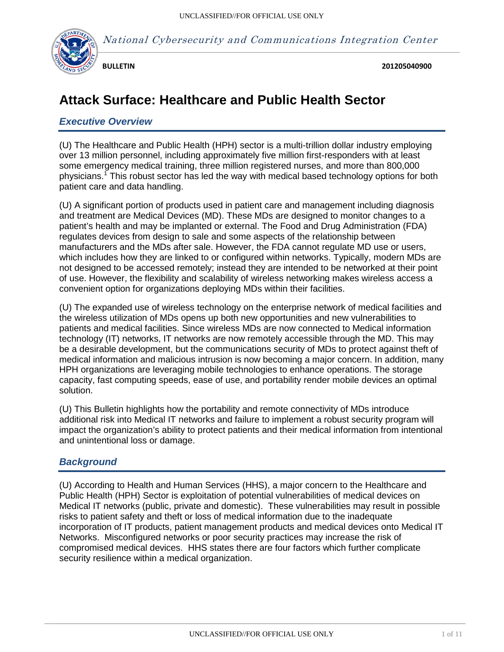

National Cybersecurity and Communications Integration Center

**BULLETIN**

 **201205040900**

# **Attack Surface: Healthcare and Public Health Sector**

## *Executive Overview*

(U) The Healthcare and Public Health (HPH) sector is a multi-trillion dollar industry employing over 13 million personnel, including approximately five million first-responders with at least some emergency medical training, three million registered nurses, and more than 800,000 physicians.<sup>1</sup> This robust sector has led the way with medical based technology options for both patient care and data handling.

(U) A significant portion of products used in patient care and management including diagnosis and treatment are Medical Devices (MD). These MDs are designed to monitor changes to a patient's health and may be implanted or external. The Food and Drug Administration (FDA) regulates devices from design to sale and some aspects of the relationship between manufacturers and the MDs after sale. However, the FDA cannot regulate MD use or users, which includes how they are linked to or configured within networks. Typically, modern MDs are not designed to be accessed remotely; instead they are intended to be networked at their point of use. However, the flexibility and scalability of wireless networking makes wireless access a convenient option for organizations deploying MDs within their facilities.

(U) The expanded use of wireless technology on the enterprise network of medical facilities and the wireless utilization of MDs opens up both new opportunities and new vulnerabilities to patients and medical facilities. Since wireless MDs are now connected to Medical information technology (IT) networks, IT networks are now remotely accessible through the MD. This may be a desirable development, but the communications security of MDs to protect against theft of medical information and malicious intrusion is now becoming a major concern. In addition, many HPH organizations are leveraging mobile technologies to enhance operations. The storage capacity, fast computing speeds, ease of use, and portability render mobile devices an optimal solution.

(U) This Bulletin highlights how the portability and remote connectivity of MDs introduce additional risk into Medical IT networks and failure to implement a robust security program will impact the organization's ability to protect patients and their medical information from intentional and unintentional loss or damage.

## *Background*

(U) According to Health and Human Services (HHS), a major concern to the Healthcare and Public Health (HPH) Sector is exploitation of potential vulnerabilities of medical devices on Medical IT networks (public, private and domestic). These vulnerabilities may result in possible risks to patient safety and theft or loss of medical information due to the inadequate incorporation of IT products, patient management products and medical devices onto Medical IT Networks. Misconfigured networks or poor security practices may increase the risk of compromised medical devices. HHS states there are four factors which further complicate security resilience within a medical organization.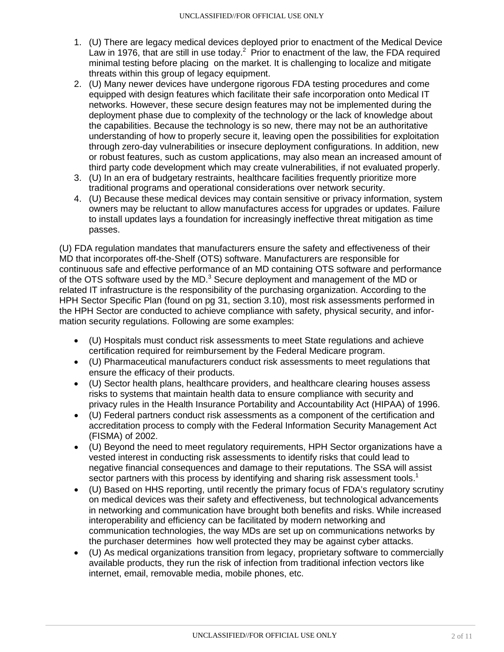- 1. (U) There are legacy medical devices deployed prior to enactment of the Medical Device Law in 1976, that are still in use today.<sup>2</sup> Prior to enactment of the law, the FDA required minimal testing before placing on the market. It is challenging to localize and mitigate threats within this group of legacy equipment.
- 2. (U) Many newer devices have undergone rigorous FDA testing procedures and come equipped with design features which facilitate their safe incorporation onto Medical IT networks. However, these secure design features may not be implemented during the deployment phase due to complexity of the technology or the lack of knowledge about the capabilities. Because the technology is so new, there may not be an authoritative understanding of how to properly secure it, leaving open the possibilities for exploitation through zero-day vulnerabilities or insecure deployment configurations. In addition, new or robust features, such as custom applications, may also mean an increased amount of third party code development which may create vulnerabilities, if not evaluated properly.
- 3. (U) In an era of budgetary restraints, healthcare facilities frequently prioritize more traditional programs and operational considerations over network security.
- 4. (U) Because these medical devices may contain sensitive or privacy information, system owners may be reluctant to allow manufactures access for upgrades or updates. Failure to install updates lays a foundation for increasingly ineffective threat mitigation as time passes.

(U) FDA regulation mandates that manufacturers ensure the safety and effectiveness of their MD that incorporates off-the-Shelf (OTS) software. Manufacturers are responsible for continuous safe and effective performance of an MD containing OTS software and performance of the OTS software used by the MD. $3$  Secure deployment and management of the MD or related IT infrastructure is the responsibility of the purchasing organization. According to the HPH Sector Specific Plan (found on pg 31, section 3.10), most risk assessments performed in the HPH Sector are conducted to achieve compliance with safety, physical security, and information security regulations. Following are some examples:

- (U) Hospitals must conduct risk assessments to meet State regulations and achieve certification required for reimbursement by the Federal Medicare program.
- (U) Pharmaceutical manufacturers conduct risk assessments to meet regulations that ensure the efficacy of their products.
- (U) Sector health plans, healthcare providers, and healthcare clearing houses assess risks to systems that maintain health data to ensure compliance with security and privacy rules in the Health Insurance Portability and Accountability Act (HIPAA) of 1996.
- (U) Federal partners conduct risk assessments as a component of the certification and accreditation process to comply with the Federal Information Security Management Act (FISMA) of 2002.
- (U) Beyond the need to meet regulatory requirements, HPH Sector organizations have a vested interest in conducting risk assessments to identify risks that could lead to negative financial consequences and damage to their reputations. The SSA will assist sector partners with this process by identifying and sharing risk assessment tools.<sup>1</sup>
- (U) Based on HHS reporting, until recently the primary focus of FDA's regulatory scrutiny on medical devices was their safety and effectiveness, but technological advancements in networking and communication have brought both benefits and risks. While increased interoperability and efficiency can be facilitated by modern networking and communication technologies, the way MDs are set up on communications networks by the purchaser determines how well protected they may be against cyber attacks.
- (U) As medical organizations transition from legacy, proprietary software to commercially available products, they run the risk of infection from traditional infection vectors like internet, email, removable media, mobile phones, etc.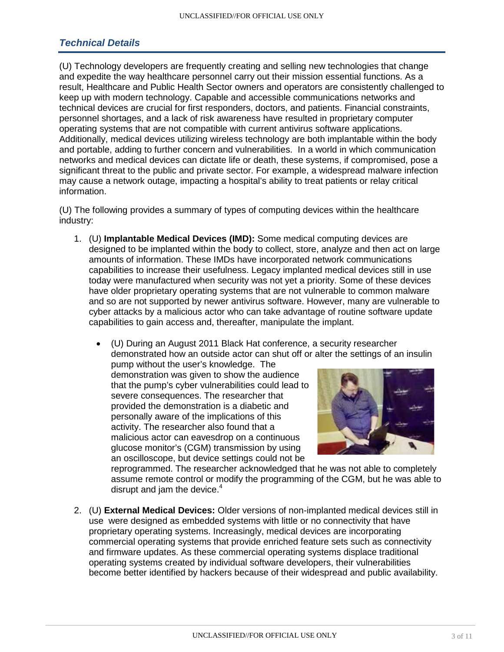## *Technical Details*

(U) Technology developers are frequently creating and selling new technologies that change and expedite the way healthcare personnel carry out their mission essential functions. As a result, Healthcare and Public Health Sector owners and operators are consistently challenged to keep up with modern technology. Capable and accessible communications networks and technical devices are crucial for first responders, doctors, and patients. Financial constraints, personnel shortages, and a lack of risk awareness have resulted in proprietary computer operating systems that are not compatible with current antivirus software applications. Additionally, medical devices utilizing wireless technology are both implantable within the body and portable, adding to further concern and vulnerabilities. In a world in which communication networks and medical devices can dictate life or death, these systems, if compromised, pose a significant threat to the public and private sector. For example, a widespread malware infection may cause a network outage, impacting a hospital's ability to treat patients or relay critical information.

(U) The following provides a summary of types of computing devices within the healthcare industry:

- 1. (U) **Implantable Medical Devices (IMD):** Some medical computing devices are designed to be implanted within the body to collect, store, analyze and then act on large amounts of information. These IMDs have incorporated network communications capabilities to increase their usefulness. Legacy implanted medical devices still in use today were manufactured when security was not yet a priority. Some of these devices have older proprietary operating systems that are not vulnerable to common malware and so are not supported by newer antivirus software. However, many are vulnerable to cyber attacks by a malicious actor who can take advantage of routine software update capabilities to gain access and, thereafter, manipulate the implant.
	- (U) During an August 2011 Black Hat conference, a security researcher demonstrated how an outside actor can shut off or alter the settings of an insulin

pump without the user's knowledge. The demonstration was given to show the audience that the pump's cyber vulnerabilities could lead to severe consequences. The researcher that provided the demonstration is a diabetic and personally aware of the implications of this activity. The researcher also found that a malicious actor can eavesdrop on a continuous glucose monitor's (CGM) transmission by using an oscilloscope, but device settings could not be



reprogrammed. The researcher acknowledged that he was not able to completely assume remote control or modify the programming of the CGM, but he was able to disrupt and jam the device. $4$ 

2. (U) **External Medical Devices:** Older versions of non-implanted medical devices still in use were designed as embedded systems with little or no connectivity that have proprietary operating systems. Increasingly, medical devices are incorporating commercial operating systems that provide enriched feature sets such as connectivity and firmware updates. As these commercial operating systems displace traditional operating systems created by individual software developers, their vulnerabilities become better identified by hackers because of their widespread and public availability.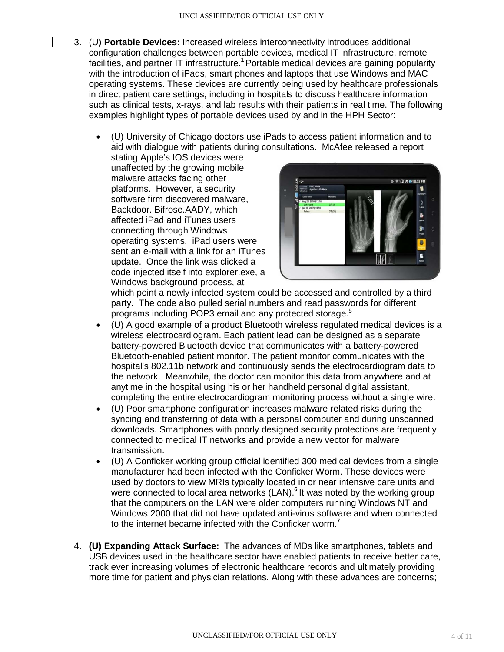- 3. (U) **Portable Devices:** Increased wireless interconnectivity introduces additional configuration challenges between portable devices, medical IT infrastructure, remote facilities, and partner IT infrastructure.<sup>1</sup> Portable medical devices are gaining popularity with the introduction of iPads, smart phones and laptops that use Windows and MAC operating systems. These devices are currently being used by healthcare professionals in direct patient care settings, including in hospitals to discuss healthcare information such as clinical tests, x-rays, and lab results with their patients in real time. The following examples highlight types of portable devices used by and in the HPH Sector:
	- (U) University of Chicago doctors use iPads to access patient information and to aid with dialogue with patients during consultations. McAfee released a report

stating Apple's IOS devices were unaffected by the growing mobile malware attacks facing other platforms. However, a security software firm discovered malware, Backdoor. Bifrose.AADY, which affected iPad and iTunes users connecting through Windows operating systems. iPad users were sent an e-mail with a link for an iTunes update. Once the link was clicked a code injected itself into explorer.exe, a Windows background process, at



which point a newly infected system could be accessed and controlled by a third party. The code also pulled serial numbers and read passwords for different programs including POP3 email and any protected storage. 5

- (U) A good example of a product Bluetooth wireless regulated medical devices is a wireless electrocardiogram. Each patient lead can be designed as a separate battery-powered Bluetooth device that communicates with a battery-powered Bluetooth-enabled patient monitor. The patient monitor communicates with the hospital's 802.11b network and continuously sends the electrocardiogram data to the network. Meanwhile, the doctor can monitor this data from anywhere and at anytime in the hospital using his or her handheld personal digital assistant, completing the entire electrocardiogram monitoring process without a single wire.
- (U) Poor smartphone configuration increases malware related risks during the syncing and transferring of data with a personal computer and during unscanned downloads. Smartphones with poorly designed security protections are frequently connected to medical IT networks and provide a new vector for malware transmission.
- (U) A Conficker working group official identified 300 medical devices from a single manufacturer had been infected with the Conficker Worm. These devices were used by doctors to view MRIs typically located in or near intensive care units and were connected to local area networks (LAN).**<sup>6</sup>** It was noted by the working group that the computers on the LAN were older computers running Windows NT and Windows 2000 that did not have updated anti-virus software and when connected to the internet became infected with the Conficker worm.**<sup>7</sup>**
- 4. **(U) Expanding Attack Surface:** The advances of MDs like smartphones, tablets and USB devices used in the healthcare sector have enabled patients to receive better care, track ever increasing volumes of electronic healthcare records and ultimately providing more time for patient and physician relations. Along with these advances are concerns;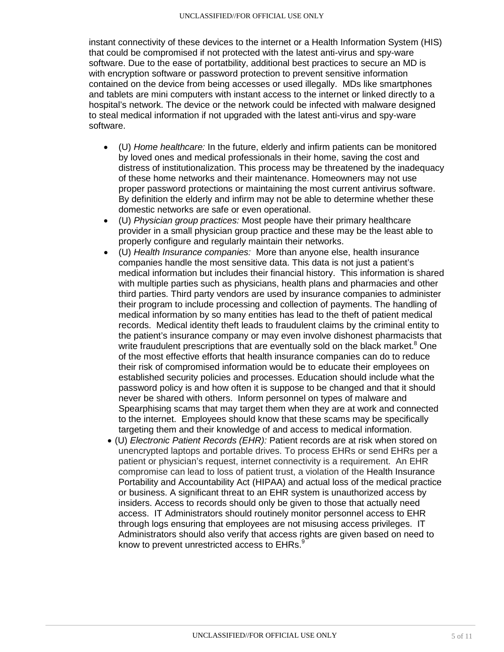instant connectivity of these devices to the internet or a Health Information System (HIS) that could be compromised if not protected with the latest anti-virus and spy-ware software. Due to the ease of portatbility, additional best practices to secure an MD is with encryption software or password protection to prevent sensitive information contained on the device from being accesses or used illegally. MDs like smartphones and tablets are mini computers with instant access to the internet or linked directly to a hospital's network. The device or the network could be infected with malware designed to steal medical information if not upgraded with the latest anti-virus and spy-ware software.

- (U) *Home healthcare:* In the future, elderly and infirm patients can be monitored by loved ones and medical professionals in their home, saving the cost and distress of institutionalization. This process may be threatened by the inadequacy of these home networks and their maintenance. Homeowners may not use proper password protections or maintaining the most current antivirus software. By definition the elderly and infirm may not be able to determine whether these domestic networks are safe or even operational.
- (U) *Physician group practices:* Most people have their primary healthcare provider in a small physician group practice and these may be the least able to properly configure and regularly maintain their networks.
- (U) *Health Insurance companies:* More than anyone else, health insurance companies handle the most sensitive data. This data is not just a patient's medical information but includes their financial history. This information is shared with multiple parties such as physicians, health plans and pharmacies and other third parties. Third party vendors are used by insurance companies to administer their program to include processing and collection of payments. The handling of medical information by so many entities has lead to the theft of patient medical records. Medical identity theft leads to fraudulent claims by the criminal entity to the patient's insurance company or may even involve dishonest pharmacists that write fraudulent prescriptions that are eventually sold on the black market.<sup>8</sup> One of the most effective efforts that health insurance companies can do to reduce their risk of compromised information would be to educate their employees on established security policies and processes. Education should include what the password policy is and how often it is suppose to be changed and that it should never be shared with others. Inform personnel on types of malware and Spearphising scams that may target them when they are at work and connected to the internet. Employees should know that these scams may be specifically targeting them and their knowledge of and access to medical information.
- (U) *Electronic Patient Records (EHR):* Patient records are at risk when stored on unencrypted laptops and portable drives. To process EHRs or send EHRs per a patient or physician's request, internet connectivity is a requirement. An EHR compromise can lead to loss of patient trust, a violation of the Health Insurance Portability and Accountability Act (HIPAA) and actual loss of the medical practice or business. A significant threat to an EHR system is unauthorized access by insiders. Access to records should only be given to those that actually need access. IT Administrators should routinely monitor personnel access to EHR through logs ensuring that employees are not misusing access privileges. IT Administrators should also verify that access rights are given based on need to know to prevent unrestricted access to  $\mathsf{EHRs}.\mathsf{^9}$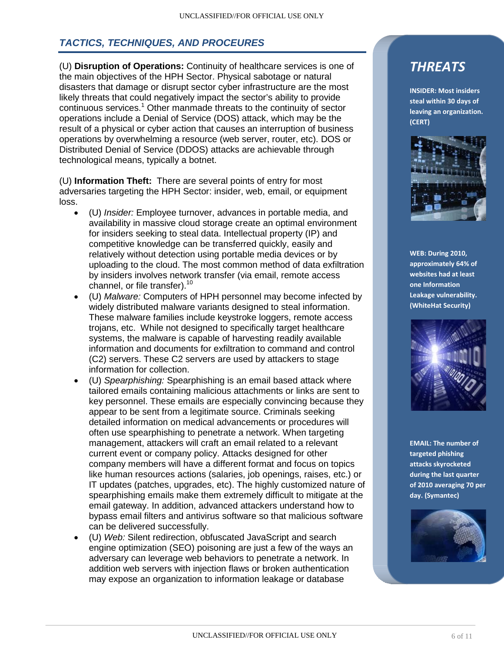## *TACTICS, TECHNIQUES, AND PROCEURES*

(U) **Disruption of Operations:** Continuity of healthcare services is one of the main objectives of the HPH Sector. Physical sabotage or natural disasters that damage or disrupt sector cyber infrastructure are the most likely threats that could negatively impact the sector's ability to provide continuous services.<sup>1</sup> Other manmade threats to the continuity of sector operations include a Denial of Service (DOS) attack, which may be the result of a physical or cyber action that causes an interruption of business operations by overwhelming a resource (web server, router, etc). DOS or Distributed Denial of Service (DDOS) attacks are achievable through technological means, typically a botnet.

(U) **Information Theft:** There are several points of entry for most adversaries targeting the HPH Sector: insider, web, email, or equipment loss.

- (U) *Insider:* Employee turnover, advances in portable media, and availability in massive cloud storage create an optimal environment for insiders seeking to steal data. Intellectual property (IP) and competitive knowledge can be transferred quickly, easily and relatively without detection using portable media devices or by uploading to the cloud. The most common method of data exfiltration by insiders involves network transfer (via email, remote access channel, or file transfer).<sup>10</sup>
- (U) *Malware:* Computers of HPH personnel may become infected by widely distributed malware variants designed to steal information. These malware families include keystroke loggers, remote access trojans, etc. While not designed to specifically target healthcare systems, the malware is capable of harvesting readily available information and documents for exfiltration to command and control (C2) servers. These C2 servers are used by attackers to stage information for collection.
- (U) *Spearphishing:* Spearphishing is an email based attack where tailored emails containing malicious attachments or links are sent to key personnel. These emails are especially convincing because they appear to be sent from a legitimate source. Criminals seeking detailed information on medical advancements or procedures will often use spearphishing to penetrate a network. When targeting management, attackers will craft an email related to a relevant current event or company policy. Attacks designed for other company members will have a different format and focus on topics like human resources actions (salaries, job openings, raises, etc.) or IT updates (patches, upgrades, etc). The highly customized nature of spearphishing emails make them extremely difficult to mitigate at the email gateway. In addition, advanced attackers understand how to bypass email filters and antivirus software so that malicious software can be delivered successfully.
- (U) *Web:* Silent redirection, obfuscated JavaScript and search engine optimization (SEO) poisoning are just a few of the ways an adversary can leverage web behaviors to penetrate a network. In addition web servers with injection flaws or broken authentication may expose an organization to information leakage or database

## *THREATS*

**INSIDER: Most insiders steal within 30 days of leaving an organization. (CERT)**



**WEB: During 2010, approximately 64% of websites had at least one Information Leakage vulnerability. (WhiteHat Security)**



**EMAIL: The number of targeted phishing attacks skyrocketed during the last quarter of 2010 averaging 70 per day. (Symantec)**

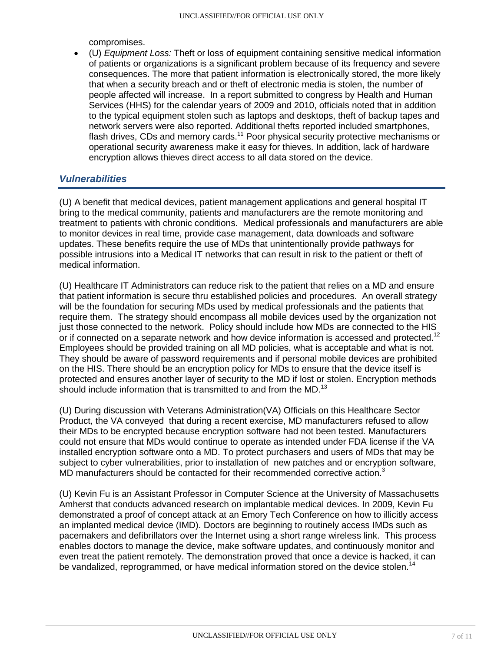compromises.

• (U) *Equipment Loss:* Theft or loss of equipment containing sensitive medical information of patients or organizations is a significant problem because of its frequency and severe consequences. The more that patient information is electronically stored, the more likely that when a security breach and or theft of electronic media is stolen, the number of people affected will increase. In a report submitted to congress by Health and Human Services (HHS) for the calendar years of 2009 and 2010, officials noted that in addition to the typical equipment stolen such as laptops and desktops, theft of backup tapes and network servers were also reported. Additional thefts reported included smartphones, flash drives, CDs and memory cards.<sup>11</sup> Poor physical security protective mechanisms or operational security awareness make it easy for thieves. In addition, lack of hardware encryption allows thieves direct access to all data stored on the device.

### *Vulnerabilities*

(U) A benefit that medical devices, patient management applications and general hospital IT bring to the medical community, patients and manufacturers are the remote monitoring and treatment to patients with chronic conditions. Medical professionals and manufacturers are able to monitor devices in real time, provide case management, data downloads and software updates. These benefits require the use of MDs that unintentionally provide pathways for possible intrusions into a Medical IT networks that can result in risk to the patient or theft of medical information.

(U) Healthcare IT Administrators can reduce risk to the patient that relies on a MD and ensure that patient information is secure thru established policies and procedures. An overall strategy will be the foundation for securing MDs used by medical professionals and the patients that require them. The strategy should encompass all mobile devices used by the organization not just those connected to the network. Policy should include how MDs are connected to the HIS or if connected on a separate network and how device information is accessed and protected.<sup>12</sup> Employees should be provided training on all MD policies, what is acceptable and what is not. They should be aware of password requirements and if personal mobile devices are prohibited on the HIS. There should be an encryption policy for MDs to ensure that the device itself is protected and ensures another layer of security to the MD if lost or stolen. Encryption methods should include information that is transmitted to and from the MD.<sup>13</sup>

(U) During discussion with Veterans Administration(VA) Officials on this Healthcare Sector Product, the VA conveyed that during a recent exercise, MD manufacturers refused to allow their MDs to be encrypted because encryption software had not been tested. Manufacturers could not ensure that MDs would continue to operate as intended under FDA license if the VA installed encryption software onto a MD. To protect purchasers and users of MDs that may be subject to cyber vulnerabilities, prior to installation of new patches and or encryption software, MD manufacturers should be contacted for their recommended corrective action.<sup>3</sup>

(U) Kevin Fu is an Assistant Professor in Computer Science at the University of Massachusetts Amherst that conducts advanced research on implantable medical devices. In 2009, Kevin Fu demonstrated a proof of concept attack at an Emory Tech Conference on how to illicitly access an implanted medical device (IMD). Doctors are beginning to routinely access IMDs such as pacemakers and defibrillators over the Internet using a short range wireless link. This process enables doctors to manage the device, make software updates, and continuously monitor and even treat the patient remotely. The demonstration proved that once a device is hacked, it can be vandalized, reprogrammed, or have medical information stored on the device stolen.<sup>14</sup>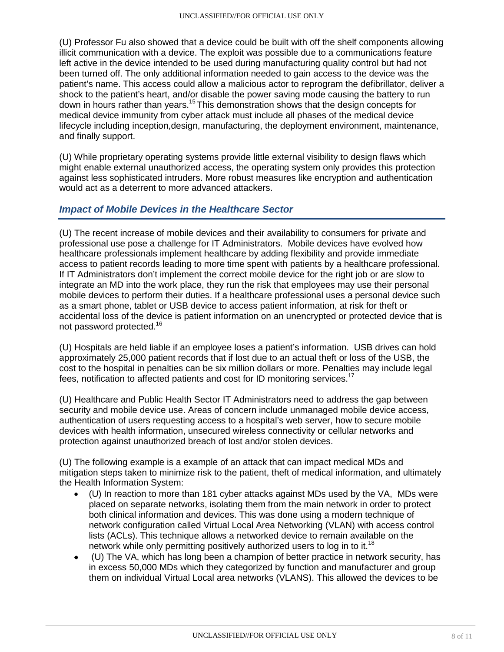(U) Professor Fu also showed that a device could be built with off the shelf components allowing illicit communication with a device. The exploit was possible due to a communications feature left active in the device intended to be used during manufacturing quality control but had not been turned off. The only additional information needed to gain access to the device was the patient's name. This access could allow a malicious actor to reprogram the defibrillator, deliver a shock to the patient's heart, and/or disable the power saving mode causing the battery to run down in hours rather than years.15 This demonstration shows that the design concepts for medical device immunity from cyber attack must include all phases of the medical device lifecycle including inception,design, manufacturing, the deployment environment, maintenance, and finally support.

(U) While proprietary operating systems provide little external visibility to design flaws which might enable external unauthorized access, the operating system only provides this protection against less sophisticated intruders. More robust measures like encryption and authentication would act as a deterrent to more advanced attackers.

### *Impact of Mobile Devices in the Healthcare Sector*

(U) The recent increase of mobile devices and their availability to consumers for private and professional use pose a challenge for IT Administrators. Mobile devices have evolved how healthcare professionals implement healthcare by adding flexibility and provide immediate access to patient records leading to more time spent with patients by a healthcare professional. If IT Administrators don't implement the correct mobile device for the right job or are slow to integrate an MD into the work place, they run the risk that employees may use their personal mobile devices to perform their duties. If a healthcare professional uses a personal device such as a smart phone, tablet or USB device to access patient information, at risk for theft or accidental loss of the device is patient information on an unencrypted or protected device that is not password protected.16

(U) Hospitals are held liable if an employee loses a patient's information. USB drives can hold approximately 25,000 patient records that if lost due to an actual theft or loss of the USB, the cost to the hospital in penalties can be six million dollars or more. Penalties may include legal fees, notification to affected patients and cost for ID monitoring services.<sup>17</sup>

(U) Healthcare and Public Health Sector IT Administrators need to address the gap between security and mobile device use. Areas of concern include unmanaged mobile device access, authentication of users requesting access to a hospital's web server, how to secure mobile devices with health information, unsecured wireless connectivity or cellular networks and protection against unauthorized breach of lost and/or stolen devices.

(U) The following example is a example of an attack that can impact medical MDs and mitigation steps taken to minimize risk to the patient, theft of medical information, and ultimately the Health Information System:

- (U) In reaction to more than 181 cyber attacks against MDs used by the VA, MDs were placed on separate networks, isolating them from the main network in order to protect both clinical information and devices. This was done using a modern technique of network configuration called Virtual Local Area Networking (VLAN) with access control lists (ACLs). This technique allows a networked device to remain available on the network while only permitting positively authorized users to log in to it.<sup>18</sup>
- (U) The VA, which has long been a champion of better practice in network security, has in excess 50,000 MDs which they categorized by function and manufacturer and group them on individual Virtual Local area networks (VLANS). This allowed the devices to be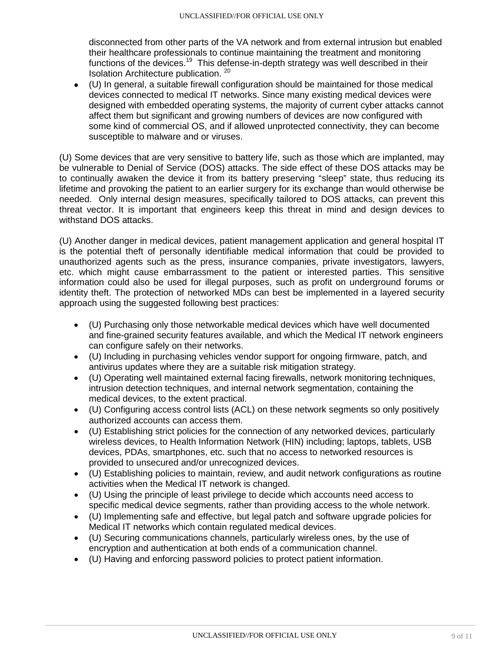disconnected from other parts of the VA network and from external intrusion but enabled their healthcare professionals to continue maintaining the treatment and monitoring functions of the devices.<sup>19</sup> This defense-in-depth strategy was well described in their Isolation Architecture publication.<sup>20</sup>

• (U) In general, a suitable firewall configuration should be maintained for those medical devices connected to medical IT networks. Since many existing medical devices were designed with embedded operating systems, the majority of current cyber attacks cannot affect them but significant and growing numbers of devices are now configured with some kind of commercial OS, and if allowed unprotected connectivity, they can become susceptible to malware and or viruses.

(U) Some devices that are very sensitive to battery life, such as those which are implanted, may be vulnerable to Denial of Service (DOS) attacks. The side effect of these DOS attacks may be to continually awaken the device it from its battery preserving "sleep" state, thus reducing its lifetime and provoking the patient to an earlier surgery for its exchange than would otherwise be needed. Only internal design measures, specifically tailored to DOS attacks, can prevent this threat vector. It is important that engineers keep this threat in mind and design devices to withstand DOS attacks.

(U) Another danger in medical devices, patient management application and general hospital IT is the potential theft of personally identifiable medical information that could be provided to unauthorized agents such as the press, insurance companies, private investigators, lawyers, etc. which might cause embarrassment to the patient or interested parties. This sensitive information could also be used for illegal purposes, such as profit on underground forums or identity theft. The protection of networked MDs can best be implemented in a layered security approach using the suggested following best practices:

- (U) Purchasing only those networkable medical devices which have well documented and fine-grained security features available, and which the Medical IT network engineers can configure safely on their networks.
- (U) Including in purchasing vehicles vendor support for ongoing firmware, patch, and antivirus updates where they are a suitable risk mitigation strategy.
- (U) Operating well maintained external facing firewalls, network monitoring techniques, intrusion detection techniques, and internal network segmentation, containing the medical devices, to the extent practical.
- (U) Configuring access control lists (ACL) on these network segments so only positively authorized accounts can access them.
- (U) Establishing strict policies for the connection of any networked devices, particularly wireless devices, to Health Information Network (HIN) including; laptops, tablets, USB devices, PDAs, smartphones, etc. such that no access to networked resources is provided to unsecured and/or unrecognized devices.
- (U) Establishing policies to maintain, review, and audit network configurations as routine activities when the Medical IT network is changed.
- (U) Using the principle of least privilege to decide which accounts need access to specific medical device segments, rather than providing access to the whole network.
- (U) Implementing safe and effective, but legal patch and software upgrade policies for Medical IT networks which contain regulated medical devices.
- (U) Securing communications channels, particularly wireless ones, by the use of encryption and authentication at both ends of a communication channel.
- (U) Having and enforcing password policies to protect patient information.